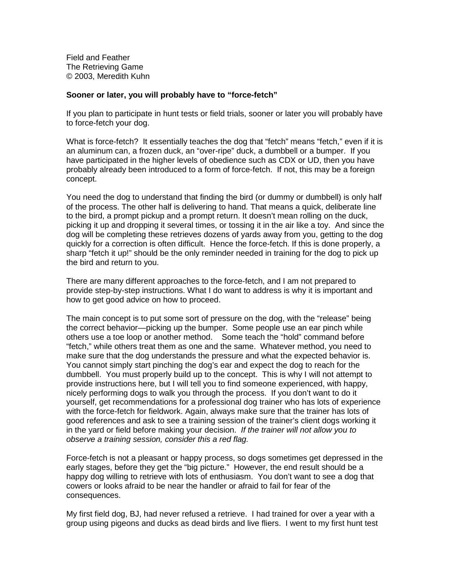**FieldandFeather The Retrieving Game** © 2003, Meredith Kuhn

## **Sooner or later, you will probably have to "force -fetch"**

If you plan to participate in hunt tests or field trials, sooner or later you will probably have toforce -fetchyourdog.

Whatisforc e-fetch? Itessentially teaches the dogthat "fetch" means "fetch, " even if it is an aluminum can, a frozen duck, an "over - ripe" duck, a dum bbell or a bumper. If you have participate din the higher levels of obe diencesuch as CDX or UD, then you have probably already been introduced to a form of force -fetch. If not, this may be a foreign concept.

Youneed the dog to understand that finding the bird (or dummy or dumbbell) is only half<br>of the process. The other halfis deliver in a to hand. That me ansa a concept in the rate line of the process. The other half is delivering to hand. That means a q to the bird, a prompt pickup and a prompt return. It doesn't mean rolling on the duck, picking it up and dropping its everal times, or to ssing it in the air like a toy. And since the dog will be completing these retrieves dozens of y ards away from you, getting to the dog quickly for a correction is often difficult. Hence the force  $\qquad -$  fetch. If this is done properly, a sharp "fetchitup!" should be the only reminder needed intraining for the dog to pick up the bird and return to you.

There are many different approaches to the force -fetch, and I am not prepared to providestep -by-stepinstructions. What I dowant to address is why it is important and how to get good advice on how to proceed.

The main concept is to put some sort of pre-some sure on the dog, with the "release" being the correct behavior — picking up the bumper. Some people uses an ear pinch while othersuseatoelooporanothermethod. Someteachthe "hold" command before "fetch," while others treat them as one and the same . Whatever method, you need to make sure that the dog understands the pressure and what the expected behavior is. You cannot simply start pinching the dog's ear and expect the dog to reach for the dumbbell. You must properly build up to the concept. The is is why I will not attempt to provideinstructionshere, but I will tell you to find some one experienced, with happy, nicely performing dogs to walk you through the process. If you don't want to do it yourself, get recommendations for a professional dog trainer who has lots of experience with the force -fetch for field work. Again, always make sure that the trainer has lots of good references and ask to see a training session of the trainer's client dogs working it in the yard or field before making yourd ecision. If the trainer will not allow you to observeatraining session, consider this ared flag.

Force-fetch is not a pleasant or happy process, so dogs some times get depressed in the early stages, before the yget the "big picture." However, the e ndre sult should be a happy dog willing to retrieve with lots of enthusiasm. You don't want to see a dog that cowers or looks afraid to be near the handler or a fraid to fail for fear of the consequences.

Myfirstfielddog, BJ, had never refused aretr ieve. I had trained for over a year with a group using pigeons and ducks as dead birds and live fliers. I went to my first hunt test